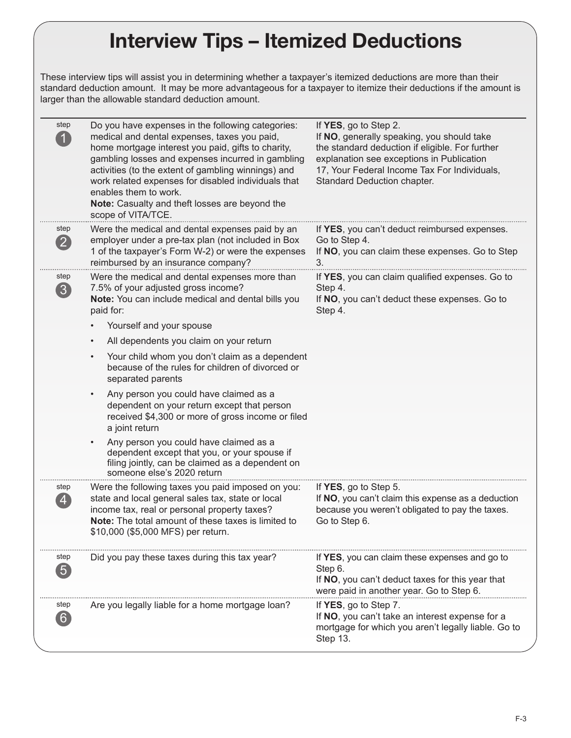## Interview Tips – Itemized Deductions

These interview tips will assist you in determining whether a taxpayer's itemized deductions are more than their standard deduction amount. It may be more advantageous for a taxpayer to itemize their deductions if the amount is larger than the allowable standard deduction amount.

| step<br>$\mathbf{1}$                            | Do you have expenses in the following categories:<br>medical and dental expenses, taxes you paid,<br>home mortgage interest you paid, gifts to charity,<br>gambling losses and expenses incurred in gambling<br>activities (to the extent of gambling winnings) and<br>work related expenses for disabled individuals that<br>enables them to work.<br>Note: Casualty and theft losses are beyond the<br>scope of VITA/TCE. | If YES, go to Step 2.<br>If NO, generally speaking, you should take<br>the standard deduction if eligible. For further<br>explanation see exceptions in Publication<br>17, Your Federal Income Tax For Individuals,<br>Standard Deduction chapter. |
|-------------------------------------------------|-----------------------------------------------------------------------------------------------------------------------------------------------------------------------------------------------------------------------------------------------------------------------------------------------------------------------------------------------------------------------------------------------------------------------------|----------------------------------------------------------------------------------------------------------------------------------------------------------------------------------------------------------------------------------------------------|
| step<br>$\left( 2\right)$                       | Were the medical and dental expenses paid by an<br>employer under a pre-tax plan (not included in Box<br>1 of the taxpayer's Form W-2) or were the expenses                                                                                                                                                                                                                                                                 | If YES, you can't deduct reimbursed expenses.<br>Go to Step 4.<br>If NO, you can claim these expenses. Go to Step                                                                                                                                  |
|                                                 | reimbursed by an insurance company?                                                                                                                                                                                                                                                                                                                                                                                         | 3.                                                                                                                                                                                                                                                 |
| step<br>$\begin{array}{c} \hline 3 \end{array}$ | Were the medical and dental expenses more than<br>7.5% of your adjusted gross income?                                                                                                                                                                                                                                                                                                                                       | If YES, you can claim qualified expenses. Go to<br>Step 4.                                                                                                                                                                                         |
|                                                 | Note: You can include medical and dental bills you<br>paid for:                                                                                                                                                                                                                                                                                                                                                             | If NO, you can't deduct these expenses. Go to<br>Step 4.                                                                                                                                                                                           |
|                                                 | Yourself and your spouse                                                                                                                                                                                                                                                                                                                                                                                                    |                                                                                                                                                                                                                                                    |
|                                                 | All dependents you claim on your return<br>$\bullet$                                                                                                                                                                                                                                                                                                                                                                        |                                                                                                                                                                                                                                                    |
|                                                 | Your child whom you don't claim as a dependent<br>$\bullet$<br>because of the rules for children of divorced or<br>separated parents                                                                                                                                                                                                                                                                                        |                                                                                                                                                                                                                                                    |
|                                                 | Any person you could have claimed as a<br>$\bullet$<br>dependent on your return except that person<br>received \$4,300 or more of gross income or filed<br>a joint return                                                                                                                                                                                                                                                   |                                                                                                                                                                                                                                                    |
|                                                 | Any person you could have claimed as a<br>dependent except that you, or your spouse if<br>filing jointly, can be claimed as a dependent on<br>someone else's 2020 return                                                                                                                                                                                                                                                    |                                                                                                                                                                                                                                                    |
| step                                            | Were the following taxes you paid imposed on you:                                                                                                                                                                                                                                                                                                                                                                           | If YES, go to Step 5.                                                                                                                                                                                                                              |
| $\overline{4}$                                  | state and local general sales tax, state or local<br>income tax, real or personal property taxes?<br>Note: The total amount of these taxes is limited to<br>\$10,000 (\$5,000 MFS) per return.                                                                                                                                                                                                                              | If NO, you can't claim this expense as a deduction<br>because you weren't obligated to pay the taxes.<br>Go to Step 6.                                                                                                                             |
| step                                            | Did you pay these taxes during this tax year?                                                                                                                                                                                                                                                                                                                                                                               | If YES, you can claim these expenses and go to                                                                                                                                                                                                     |
| $\boxed{5}$                                     |                                                                                                                                                                                                                                                                                                                                                                                                                             | Step 6.<br>If NO, you can't deduct taxes for this year that<br>were paid in another year. Go to Step 6.                                                                                                                                            |
| step<br>6                                       | Are you legally liable for a home mortgage loan?                                                                                                                                                                                                                                                                                                                                                                            | If YES, go to Step 7.<br>If NO, you can't take an interest expense for a<br>mortgage for which you aren't legally liable. Go to<br>Step 13.                                                                                                        |